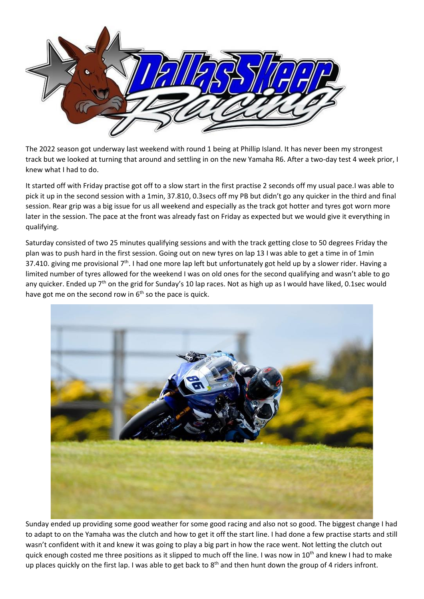

The 2022 season got underway last weekend with round 1 being at Phillip Island. It has never been my strongest track but we looked at turning that around and settling in on the new Yamaha R6. After a two-day test 4 week prior, I knew what I had to do.

It started off with Friday practise got off to a slow start in the first practise 2 seconds off my usual pace.I was able to pick it up in the second session with a 1min, 37.810, 0.3secs off my PB but didn't go any quicker in the third and final session. Rear grip was a big issue for us all weekend and especially as the track got hotter and tyres got worn more later in the session. The pace at the front was already fast on Friday as expected but we would give it everything in qualifying.

Saturday consisted of two 25 minutes qualifying sessions and with the track getting close to 50 degrees Friday the plan was to push hard in the first session. Going out on new tyres on lap 13 I was able to get a time in of 1min 37.410. giving me provisional  $7<sup>th</sup>$ . I had one more lap left but unfortunately got held up by a slower rider. Having a limited number of tyres allowed for the weekend I was on old ones for the second qualifying and wasn't able to go any quicker. Ended up 7<sup>th</sup> on the grid for Sunday's 10 lap races. Not as high up as I would have liked, 0.1sec would have got me on the second row in  $6<sup>th</sup>$  so the pace is quick.



Sunday ended up providing some good weather for some good racing and also not so good. The biggest change I had to adapt to on the Yamaha was the clutch and how to get it off the start line. I had done a few practise starts and still wasn't confident with it and knew it was going to play a big part in how the race went. Not letting the clutch out quick enough costed me three positions as it slipped to much off the line. I was now in 10<sup>th</sup> and knew I had to make up places quickly on the first lap. I was able to get back to  $8<sup>th</sup>$  and then hunt down the group of 4 riders infront.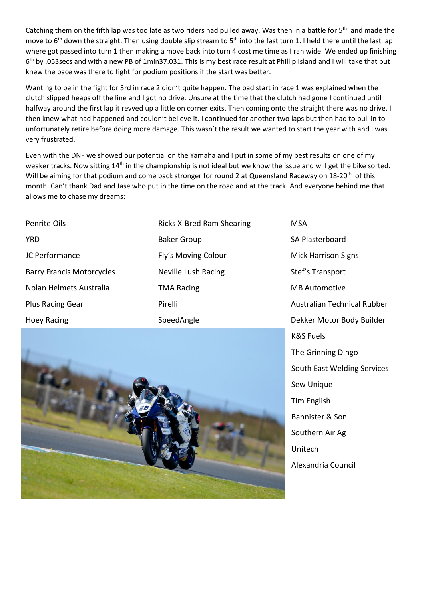Catching them on the fifth lap was too late as two riders had pulled away. Was then in a battle for  $5<sup>th</sup>$  and made the move to  $6<sup>th</sup>$  down the straight. Then using double slip stream to  $5<sup>th</sup>$  into the fast turn 1. I held there until the last lap where got passed into turn 1 then making a move back into turn 4 cost me time as I ran wide. We ended up finishing 6<sup>th</sup> by .053secs and with a new PB of 1min37.031. This is my best race result at Phillip Island and I will take that but knew the pace was there to fight for podium positions if the start was better.

Wanting to be in the fight for 3rd in race 2 didn't quite happen. The bad start in race 1 was explained when the clutch slipped heaps off the line and I got no drive. Unsure at the time that the clutch had gone I continued until halfway around the first lap it revved up a little on corner exits. Then coming onto the straight there was no drive. I then knew what had happened and couldn't believe it. I continued for another two laps but then had to pull in to unfortunately retire before doing more damage. This wasn't the result we wanted to start the year with and I was very frustrated.

Even with the DNF we showed our potential on the Yamaha and I put in some of my best results on one of my weaker tracks. Now sitting 14<sup>th</sup> in the championship is not ideal but we know the issue and will get the bike sorted. Will be aiming for that podium and come back stronger for round 2 at Queensland Raceway on 18-20<sup>th</sup> of this month. Can't thank Dad and Jase who put in the time on the road and at the track. And everyone behind me that allows me to chase my dreams:

| <b>Penrite Oils</b>              | Ricks         |
|----------------------------------|---------------|
| <b>YRD</b>                       | Baker         |
| JC Performance                   | Fly's         |
| <b>Barry Francis Motorcycles</b> | <b>Nevill</b> |
| Nolan Helmets Australia          | TMA I         |
| <b>Plus Racing Gear</b>          | Pirelli       |
| <b>Hoey Racing</b>               | Speed         |

X-Bred Ram Shearing Group Moving Colour le Lush Racing Racing SpeedAngle

MSA SA Plasterboard Mick Harrison Signs Stef's Transport MB Automotive Australian Technical Rubber Dekker Motor Body Builder K&S Fuels The Grinning Dingo South East Welding Services Sew Unique Tim English Bannister & Son Southern Air Ag Unitech Alexandria Council